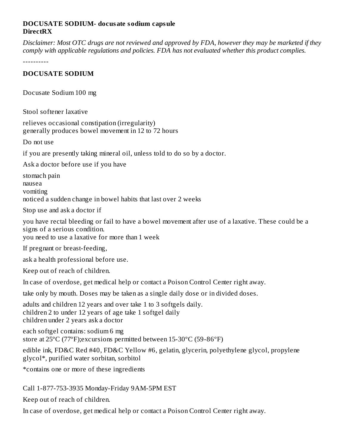#### **DOCUSATE SODIUM- docusate sodium capsule DirectRX**

Disclaimer: Most OTC drugs are not reviewed and approved by FDA, however they may be marketed if they *comply with applicable regulations and policies. FDA has not evaluated whether this product complies.*

----------

#### **DOCUSATE SODIUM**

Docusate Sodium 100 mg

Stool softener laxative

relieves occasional constipation (irregularity) generally produces bowel movement in 12 to 72 hours

Do not use

if you are presently taking mineral oil, unless told to do so by a doctor.

Ask a doctor before use if you have

stomach pain nausea vomiting noticed a sudden change in bowel habits that last over 2 weeks

Stop use and ask a doctor if

you have rectal bleeding or fail to have a bowel movement after use of a laxative. These could be a signs of a serious condition.

you need to use a laxative for more than 1 week

If pregnant or breast-feeding,

ask a health professional before use.

Keep out of reach of children.

In case of overdose, get medical help or contact a Poison Control Center right away.

take only by mouth. Doses may be taken as a single daily dose or in divided doses.

adults and children 12 years and over take 1 to 3 softgels daily. children 2 to under 12 years of age take 1 softgel daily children under 2 years ask a doctor

each softgel contains: sodium 6 mg store at 25ºC (77ºF);excursions permitted between 15-30ºC (59-86ºF)

edible ink, FD&C Red #40, FD&C Yellow #6, gelatin, glycerin, polyethylene glycol, propylene glycol\*, purified water sorbitan, sorbitol

\*contains one or more of these ingredients

Call 1-877-753-3935 Monday-Friday 9AM-5PM EST

Keep out of reach of children.

In case of overdose, get medical help or contact a Poison Control Center right away.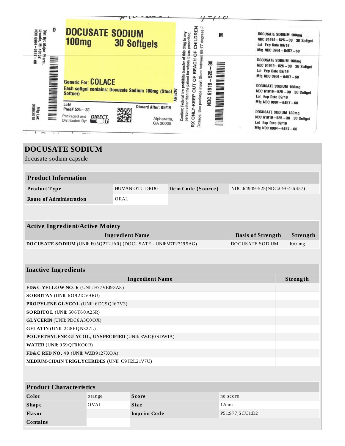|                                                                                                |                                                                                |                                                                                                                                    |                                                                                                                                                                                                                                        | $\epsilon$                                                     |                                                                                                                                                                                                                                                                |  |  |
|------------------------------------------------------------------------------------------------|--------------------------------------------------------------------------------|------------------------------------------------------------------------------------------------------------------------------------|----------------------------------------------------------------------------------------------------------------------------------------------------------------------------------------------------------------------------------------|----------------------------------------------------------------|----------------------------------------------------------------------------------------------------------------------------------------------------------------------------------------------------------------------------------------------------------------|--|--|
| D<br>Dist By: Major Pharm.<br>Livonia, MI 48152<br>$-1060$ 30N<br>$6457 - 60$                  | <b>DOCUSATE SODIUM</b><br><b>100mg</b>                                         | <b>30 Softgels</b>                                                                                                                 | CHILDREN<br>for whom it was prescribed.<br>M<br>ő                                                                                                                                                                                      | Lot Exp Date 09/19                                             | <b>DOCUSATE SODIUM 100mg</b><br>NDC 61919-525-30 30 Softgel<br>Mig NDC 0904-6457-60                                                                                                                                                                            |  |  |
| Mig Lot:<br>3/30/2018                                                                          | Generic For: COLACE<br>Lot#<br>Prod# 525-30<br>Packaged and<br>Distributed By: | Each softgel contains: Docusate Sodium 100mg (Stool $\frac{25}{12}$<br>Softner)<br>Discard After: 09/19<br>Alpharetta,<br>GA 30005 | Dosage: See package insert.Store between 68-77 degrees<br>Caution: Federal law prohibits transfer of this drug to any<br><b>REACH</b><br>ඝ<br>526<br>person other than the patient<br>ö<br>61919<br>ā<br>ONLY-KEEP<br><b>SQN</b><br>RX | Lot Exp Date 09/19<br>Lot Exp Date 09/19<br>Lot Exp Date 09/19 | <b>DOCUSATE SODIUM 100mg</b><br>NDC 61919-525-30 30 Softgel<br>Mfg NDC 0904-6457-60<br><b>DOCUSATE SODIUM 100mg</b><br>NDC 61919-525-30 30 Softgel<br>Mfg NDC 0904-6457-60<br>DOCUSATE SODIUM 100mg<br>NDC 61919-525-30 30 Softgel<br>Mfg NDC 0904 - 6457 - 60 |  |  |
|                                                                                                | <b>DOCUSATE SODIUM</b>                                                         |                                                                                                                                    |                                                                                                                                                                                                                                        |                                                                |                                                                                                                                                                                                                                                                |  |  |
| docusate sodium capsule                                                                        |                                                                                |                                                                                                                                    |                                                                                                                                                                                                                                        |                                                                |                                                                                                                                                                                                                                                                |  |  |
|                                                                                                |                                                                                |                                                                                                                                    |                                                                                                                                                                                                                                        |                                                                |                                                                                                                                                                                                                                                                |  |  |
| <b>Product Information</b>                                                                     |                                                                                |                                                                                                                                    |                                                                                                                                                                                                                                        |                                                                |                                                                                                                                                                                                                                                                |  |  |
| Product Type                                                                                   |                                                                                | <b>HUMAN OTC DRUG</b>                                                                                                              | Item Code (Source)                                                                                                                                                                                                                     |                                                                | NDC:61919-525(NDC:0904-6457)                                                                                                                                                                                                                                   |  |  |
| <b>Route of Administration</b>                                                                 |                                                                                | ORAL                                                                                                                               |                                                                                                                                                                                                                                        |                                                                |                                                                                                                                                                                                                                                                |  |  |
|                                                                                                | <b>Active Ingredient/Active Moiety</b>                                         |                                                                                                                                    |                                                                                                                                                                                                                                        |                                                                |                                                                                                                                                                                                                                                                |  |  |
|                                                                                                |                                                                                | <b>Ingredient Name</b>                                                                                                             |                                                                                                                                                                                                                                        | <b>Basis of Strength</b>                                       | Strength                                                                                                                                                                                                                                                       |  |  |
| DOCUSATE SODIUM (UNII: F05Q2T2JA0) (DOCUSATE - UNII:M7P27195AG)<br>DOCUSATE SODIUM<br>$100$ mg |                                                                                |                                                                                                                                    |                                                                                                                                                                                                                                        |                                                                |                                                                                                                                                                                                                                                                |  |  |
| <b>Inactive Ingredients</b>                                                                    |                                                                                |                                                                                                                                    |                                                                                                                                                                                                                                        |                                                                |                                                                                                                                                                                                                                                                |  |  |
|                                                                                                |                                                                                | <b>Ingredient Name</b>                                                                                                             |                                                                                                                                                                                                                                        |                                                                | Strength                                                                                                                                                                                                                                                       |  |  |
|                                                                                                | FD&C YELLOW NO. 6 (UNII: H77VEI93A8)                                           |                                                                                                                                    |                                                                                                                                                                                                                                        |                                                                |                                                                                                                                                                                                                                                                |  |  |
|                                                                                                | SORBITAN (UNII: 6O92ICV9RU)                                                    |                                                                                                                                    |                                                                                                                                                                                                                                        |                                                                |                                                                                                                                                                                                                                                                |  |  |
| PROPYLENE GLYCOL (UNII: 6DC9Q167V3)                                                            |                                                                                |                                                                                                                                    |                                                                                                                                                                                                                                        |                                                                |                                                                                                                                                                                                                                                                |  |  |
| SORBITOL (UNII: 506T60A25R)                                                                    |                                                                                |                                                                                                                                    |                                                                                                                                                                                                                                        |                                                                |                                                                                                                                                                                                                                                                |  |  |
| <b>GLYCERIN</b> (UNII: PDC6A3C0OX)<br>GELATIN (UNII: 2G86QN327L)                               |                                                                                |                                                                                                                                    |                                                                                                                                                                                                                                        |                                                                |                                                                                                                                                                                                                                                                |  |  |
| POLYETHYLENE GLYCOL, UNSPECIFIED (UNII: 3WJQ0SDW1A)                                            |                                                                                |                                                                                                                                    |                                                                                                                                                                                                                                        |                                                                |                                                                                                                                                                                                                                                                |  |  |
|                                                                                                |                                                                                |                                                                                                                                    |                                                                                                                                                                                                                                        |                                                                |                                                                                                                                                                                                                                                                |  |  |
| WATER (UNII: 059QF0KO0R)<br>FD&C RED NO. 40 (UNII: WZB9127XOA)                                 |                                                                                |                                                                                                                                    |                                                                                                                                                                                                                                        |                                                                |                                                                                                                                                                                                                                                                |  |  |
|                                                                                                | MEDIUM-CHAIN TRIGLYCERIDES (UNII: C9H2L21V7U)                                  |                                                                                                                                    |                                                                                                                                                                                                                                        |                                                                |                                                                                                                                                                                                                                                                |  |  |
| <b>Product Characteristics</b>                                                                 |                                                                                |                                                                                                                                    |                                                                                                                                                                                                                                        |                                                                |                                                                                                                                                                                                                                                                |  |  |
| Color                                                                                          | orange                                                                         | <b>Score</b>                                                                                                                       |                                                                                                                                                                                                                                        | no score                                                       |                                                                                                                                                                                                                                                                |  |  |
| <b>Shape</b>                                                                                   | OVAL                                                                           | Size                                                                                                                               |                                                                                                                                                                                                                                        | $12 \,\mathrm{mm}$                                             |                                                                                                                                                                                                                                                                |  |  |

**Flavor Imprint Code** P51;S77;SCU1;D2

**Contains**